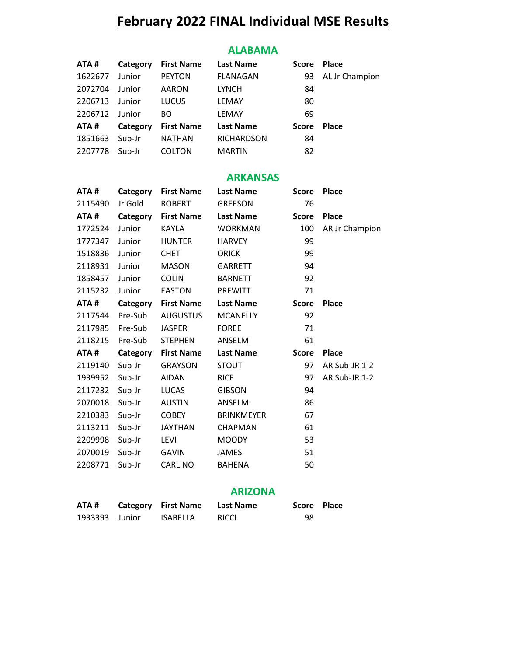# **February 2022 FINAL Individual MSE Results**

#### **ALABAMA**

| ATA#    | Category | <b>First Name</b> | <b>Last Name</b>  | <b>Score</b> | <b>Place</b>   |
|---------|----------|-------------------|-------------------|--------------|----------------|
| 1622677 | Junior   | <b>PEYTON</b>     | <b>FLANAGAN</b>   | 93           | AL Jr Champion |
| 2072704 | Junior   | <b>AARON</b>      | <b>LYNCH</b>      | 84           |                |
| 2206713 | Junior   | <b>LUCUS</b>      | LEMAY             | 80           |                |
| 2206712 | Junior   | BO.               | LEMAY             | 69           |                |
| ATA#    | Category | <b>First Name</b> | <b>Last Name</b>  | Score        | <b>Place</b>   |
| 1851663 | Sub-Jr   | <b>NATHAN</b>     | <b>RICHARDSON</b> | 84           |                |
| 2207778 | Sub-Jr   | <b>COLTON</b>     | <b>MARTIN</b>     | 82           |                |

#### **ARKANSAS**

| ATA#    | Category | <b>First Name</b> | <b>Last Name</b>  | <b>Score</b> | <b>Place</b>   |
|---------|----------|-------------------|-------------------|--------------|----------------|
| 2115490 | Jr Gold  | <b>ROBERT</b>     | <b>GREESON</b>    | 76           |                |
| ATA#    | Category | <b>First Name</b> | <b>Last Name</b>  | <b>Score</b> | <b>Place</b>   |
| 1772524 | Junior   | <b>KAYLA</b>      | <b>WORKMAN</b>    | 100          | AR Jr Champion |
| 1777347 | Junior   | <b>HUNTER</b>     | <b>HARVEY</b>     | 99           |                |
| 1518836 | Junior   | <b>CHET</b>       | <b>ORICK</b>      | 99           |                |
| 2118931 | Junior   | <b>MASON</b>      | <b>GARRETT</b>    | 94           |                |
| 1858457 | Junior   | <b>COLIN</b>      | <b>BARNETT</b>    | 92           |                |
| 2115232 | Junior   | <b>EASTON</b>     | <b>PREWITT</b>    | 71           |                |
| ATA#    | Category | <b>First Name</b> | <b>Last Name</b>  | <b>Score</b> | <b>Place</b>   |
| 2117544 | Pre-Sub  | <b>AUGUSTUS</b>   | <b>MCANELLY</b>   | 92           |                |
| 2117985 | Pre-Sub  | <b>JASPER</b>     | <b>FOREE</b>      | 71           |                |
| 2118215 | Pre-Sub  | <b>STEPHEN</b>    | ANSELMI           | 61           |                |
| ATA#    | Category | <b>First Name</b> | <b>Last Name</b>  | <b>Score</b> | <b>Place</b>   |
| 2119140 | Sub-Jr   | <b>GRAYSON</b>    | <b>STOUT</b>      | 97           | AR Sub-JR 1-2  |
| 1939952 | Sub-Jr   | <b>AIDAN</b>      | <b>RICE</b>       | 97           | AR Sub-JR 1-2  |
| 2117232 | Sub-Jr   | <b>LUCAS</b>      | <b>GIBSON</b>     | 94           |                |
| 2070018 | Sub-Jr   | <b>AUSTIN</b>     | ANSELMI           | 86           |                |
| 2210383 | Sub-Jr   | <b>COBEY</b>      | <b>BRINKMEYER</b> | 67           |                |
| 2113211 | Sub-Jr   | <b>JAYTHAN</b>    | <b>CHAPMAN</b>    | 61           |                |
| 2209998 | Sub-Jr   | <b>LEVI</b>       | <b>MOODY</b>      | 53           |                |
| 2070019 | Sub-Jr   | <b>GAVIN</b>      | <b>JAMES</b>      | 51           |                |
| 2208771 | Sub-Jr   | <b>CARLINO</b>    | <b>BAHENA</b>     | 50           |                |

### **ARIZONA**

| ATA#           | <b>Category</b> First Name | Last Name    | Score Place |  |
|----------------|----------------------------|--------------|-------------|--|
| 1933393 Junior | ISABELLA                   | <b>RICCI</b> | 98          |  |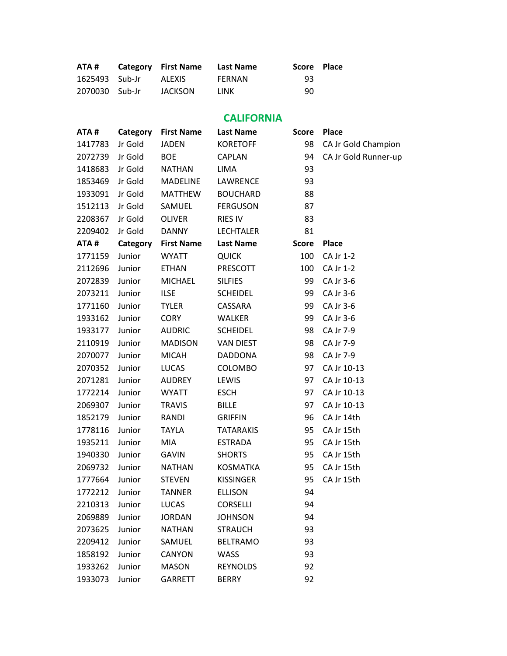| ATA #          | Category First Name Last Name |        | Score Place |  |
|----------------|-------------------------------|--------|-------------|--|
| 1625493 Sub-Jr | ALEXIS                        | FERNAN | 93          |  |
| 2070030 Sub-Jr | JACKSON                       | LINK   | 90          |  |

# **CALIFORNIA**

| ATA#    | Category | <b>First Name</b> | <b>Last Name</b> | <b>Score</b> | <b>Place</b>         |
|---------|----------|-------------------|------------------|--------------|----------------------|
| 1417783 | Jr Gold  | <b>JADEN</b>      | <b>KORETOFF</b>  | 98           | CA Jr Gold Champion  |
| 2072739 | Jr Gold  | <b>BOE</b>        | CAPLAN           | 94           | CA Jr Gold Runner-up |
| 1418683 | Jr Gold  | <b>NATHAN</b>     | <b>LIMA</b>      | 93           |                      |
| 1853469 | Jr Gold  | <b>MADELINE</b>   | LAWRENCE         | 93           |                      |
| 1933091 | Jr Gold  | <b>MATTHEW</b>    | <b>BOUCHARD</b>  | 88           |                      |
| 1512113 | Jr Gold  | SAMUEL            | <b>FERGUSON</b>  | 87           |                      |
| 2208367 | Jr Gold  | <b>OLIVER</b>     | <b>RIES IV</b>   | 83           |                      |
| 2209402 | Jr Gold  | <b>DANNY</b>      | <b>LECHTALER</b> | 81           |                      |
| ATA#    | Category | <b>First Name</b> | <b>Last Name</b> | <b>Score</b> | Place                |
| 1771159 | Junior   | <b>WYATT</b>      | <b>QUICK</b>     | 100          | CA Jr 1-2            |
| 2112696 | Junior   | <b>ETHAN</b>      | PRESCOTT         | 100          | CA Jr 1-2            |
| 2072839 | Junior   | <b>MICHAEL</b>    | <b>SILFIES</b>   | 99           | CA Jr 3-6            |
| 2073211 | Junior   | <b>ILSE</b>       | <b>SCHEIDEL</b>  | 99           | CA Jr 3-6            |
| 1771160 | Junior   | <b>TYLER</b>      | CASSARA          | 99           | CA Jr 3-6            |
| 1933162 | Junior   | <b>CORY</b>       | <b>WALKER</b>    | 99           | CA Jr 3-6            |
| 1933177 | Junior   | <b>AUDRIC</b>     | <b>SCHEIDEL</b>  | 98           | CA Jr 7-9            |
| 2110919 | Junior   | <b>MADISON</b>    | <b>VAN DIEST</b> | 98           | CA Jr 7-9            |
| 2070077 | Junior   | <b>MICAH</b>      | <b>DADDONA</b>   | 98           | CA Jr 7-9            |
| 2070352 | Junior   | <b>LUCAS</b>      | <b>COLOMBO</b>   | 97           | CA Jr 10-13          |
| 2071281 | Junior   | <b>AUDREY</b>     | LEWIS            | 97           | CA Jr 10-13          |
| 1772214 | Junior   | <b>WYATT</b>      | <b>ESCH</b>      | 97           | CA Jr 10-13          |
| 2069307 | Junior   | <b>TRAVIS</b>     | <b>BILLE</b>     | 97           | CA Jr 10-13          |
| 1852179 | Junior   | RANDI             | <b>GRIFFIN</b>   | 96           | CA Jr 14th           |
| 1778116 | Junior   | <b>TAYLA</b>      | <b>TATARAKIS</b> | 95           | CA Jr 15th           |
| 1935211 | Junior   | <b>MIA</b>        | <b>ESTRADA</b>   | 95           | CA Jr 15th           |
| 1940330 | Junior   | <b>GAVIN</b>      | <b>SHORTS</b>    | 95           | CA Jr 15th           |
| 2069732 | Junior   | <b>NATHAN</b>     | <b>KOSMATKA</b>  | 95           | CA Jr 15th           |
| 1777664 | Junior   | <b>STEVEN</b>     | <b>KISSINGER</b> | 95           | CA Jr 15th           |
| 1772212 | Junior   | <b>TANNER</b>     | <b>ELLISON</b>   | 94           |                      |
| 2210313 | Junior   | <b>LUCAS</b>      | <b>CORSELLI</b>  | 94           |                      |
| 2069889 | Junior   | <b>JORDAN</b>     | <b>JOHNSON</b>   | 94           |                      |
| 2073625 | Junior   | <b>NATHAN</b>     | <b>STRAUCH</b>   | 93           |                      |
| 2209412 | Junior   | SAMUEL            | <b>BELTRAMO</b>  | 93           |                      |
| 1858192 | Junior   | CANYON            | <b>WASS</b>      | 93           |                      |
| 1933262 | Junior   | <b>MASON</b>      | <b>REYNOLDS</b>  | 92           |                      |
| 1933073 | Junior   | GARRETT           | <b>BERRY</b>     | 92           |                      |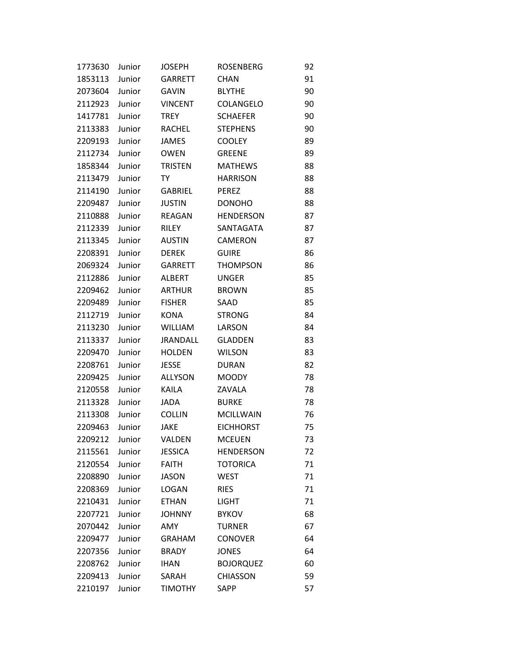| 1773630 | Junior | <b>JOSEPH</b>   | <b>ROSENBERG</b> | 92 |
|---------|--------|-----------------|------------------|----|
| 1853113 | Junior | <b>GARRETT</b>  | <b>CHAN</b>      | 91 |
| 2073604 | Junior | GAVIN           | <b>BLYTHE</b>    | 90 |
| 2112923 | Junior | <b>VINCENT</b>  | COLANGELO        | 90 |
| 1417781 | Junior | <b>TREY</b>     | <b>SCHAEFER</b>  | 90 |
| 2113383 | Junior | RACHEL          | <b>STEPHENS</b>  | 90 |
| 2209193 | Junior | <b>JAMES</b>    | <b>COOLEY</b>    | 89 |
| 2112734 | Junior | <b>OWEN</b>     | <b>GREENE</b>    | 89 |
| 1858344 | Junior | <b>TRISTEN</b>  | <b>MATHEWS</b>   | 88 |
| 2113479 | Junior | TY              | <b>HARRISON</b>  | 88 |
| 2114190 | Junior | <b>GABRIEL</b>  | <b>PEREZ</b>     | 88 |
| 2209487 | Junior | <b>JUSTIN</b>   | <b>DONOHO</b>    | 88 |
| 2110888 | Junior | <b>REAGAN</b>   | <b>HENDERSON</b> | 87 |
| 2112339 | Junior | RILEY           | SANTAGATA        | 87 |
| 2113345 | Junior | <b>AUSTIN</b>   | CAMERON          | 87 |
| 2208391 | Junior | <b>DEREK</b>    | <b>GUIRE</b>     | 86 |
| 2069324 | Junior | <b>GARRETT</b>  | <b>THOMPSON</b>  | 86 |
| 2112886 | Junior | <b>ALBERT</b>   | <b>UNGER</b>     | 85 |
| 2209462 | Junior | <b>ARTHUR</b>   | <b>BROWN</b>     | 85 |
| 2209489 | Junior | <b>FISHER</b>   | SAAD             | 85 |
| 2112719 | Junior | <b>KONA</b>     | <b>STRONG</b>    | 84 |
| 2113230 | Junior | <b>WILLIAM</b>  | LARSON           | 84 |
| 2113337 | Junior | <b>JRANDALL</b> | <b>GLADDEN</b>   | 83 |
| 2209470 | Junior | <b>HOLDEN</b>   | <b>WILSON</b>    | 83 |
| 2208761 | Junior | <b>JESSE</b>    | <b>DURAN</b>     | 82 |
| 2209425 | Junior | <b>ALLYSON</b>  | <b>MOODY</b>     | 78 |
| 2120558 | Junior | <b>KAILA</b>    | ZAVALA           | 78 |
| 2113328 | Junior | JADA            | <b>BURKE</b>     | 78 |
| 2113308 | Junior | <b>COLLIN</b>   | <b>MCILLWAIN</b> | 76 |
| 2209463 | Junior | JAKE            | <b>EICHHORST</b> | 75 |
| 2209212 | Junior | VALDEN          | <b>MCEUEN</b>    | 73 |
| 2115561 | Junior | <b>JESSICA</b>  | <b>HENDERSON</b> | 72 |
| 2120554 | Junior | <b>FAITH</b>    | <b>TOTORICA</b>  | 71 |
| 2208890 | Junior | <b>JASON</b>    | <b>WEST</b>      | 71 |
| 2208369 | Junior | <b>LOGAN</b>    | <b>RIES</b>      | 71 |
| 2210431 | Junior | <b>ETHAN</b>    | <b>LIGHT</b>     | 71 |
| 2207721 | Junior | <b>JOHNNY</b>   | <b>BYKOV</b>     | 68 |
| 2070442 | Junior | AMY             | <b>TURNER</b>    | 67 |
| 2209477 | Junior | <b>GRAHAM</b>   | <b>CONOVER</b>   | 64 |
| 2207356 | Junior | <b>BRADY</b>    | <b>JONES</b>     | 64 |
| 2208762 | Junior | <b>IHAN</b>     | <b>BOJORQUEZ</b> | 60 |
| 2209413 | Junior | SARAH           | <b>CHIASSON</b>  | 59 |
| 2210197 | Junior | <b>TIMOTHY</b>  | SAPP             | 57 |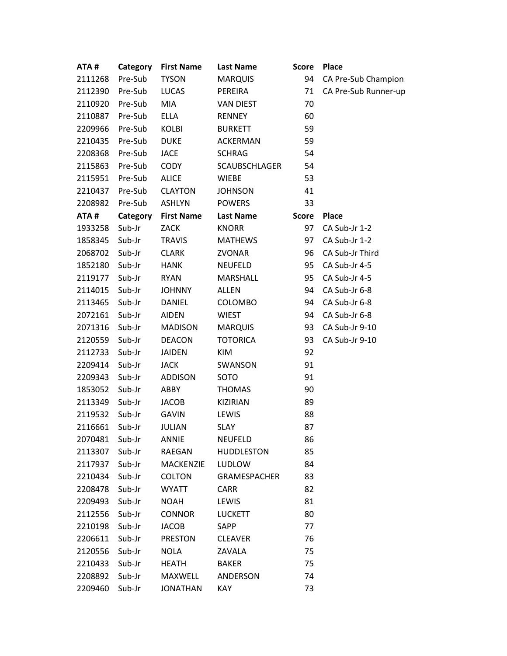| ATA#    | Category | <b>First Name</b> | <b>Last Name</b>     | <b>Score</b> | <b>Place</b>         |
|---------|----------|-------------------|----------------------|--------------|----------------------|
| 2111268 | Pre-Sub  | <b>TYSON</b>      | <b>MARQUIS</b>       | 94           | CA Pre-Sub Champion  |
| 2112390 | Pre-Sub  | <b>LUCAS</b>      | PEREIRA              | 71           | CA Pre-Sub Runner-up |
| 2110920 | Pre-Sub  | <b>MIA</b>        | <b>VAN DIEST</b>     | 70           |                      |
| 2110887 | Pre-Sub  | <b>ELLA</b>       | <b>RENNEY</b>        | 60           |                      |
| 2209966 | Pre-Sub  | KOLBI             | <b>BURKETT</b>       | 59           |                      |
| 2210435 | Pre-Sub  | <b>DUKE</b>       | <b>ACKERMAN</b>      | 59           |                      |
| 2208368 | Pre-Sub  | <b>JACE</b>       | <b>SCHRAG</b>        | 54           |                      |
| 2115863 | Pre-Sub  | <b>CODY</b>       | <b>SCAUBSCHLAGER</b> | 54           |                      |
| 2115951 | Pre-Sub  | <b>ALICE</b>      | <b>WIEBE</b>         | 53           |                      |
| 2210437 | Pre-Sub  | <b>CLAYTON</b>    | <b>JOHNSON</b>       | 41           |                      |
| 2208982 | Pre-Sub  | <b>ASHLYN</b>     | <b>POWERS</b>        | 33           |                      |
| ATA#    | Category | <b>First Name</b> | <b>Last Name</b>     | <b>Score</b> | <b>Place</b>         |
| 1933258 | Sub-Jr   | <b>ZACK</b>       | <b>KNORR</b>         | 97           | CA Sub-Jr 1-2        |
| 1858345 | Sub-Jr   | <b>TRAVIS</b>     | <b>MATHEWS</b>       | 97           | CA Sub-Jr 1-2        |
| 2068702 | Sub-Jr   | <b>CLARK</b>      | <b>ZVONAR</b>        | 96           | CA Sub-Jr Third      |
| 1852180 | Sub-Jr   | <b>HANK</b>       | <b>NEUFELD</b>       | 95           | CA Sub-Jr 4-5        |
| 2119177 | Sub-Jr   | <b>RYAN</b>       | <b>MARSHALL</b>      | 95           | CA Sub-Jr 4-5        |
| 2114015 | Sub-Jr   | <b>JOHNNY</b>     | <b>ALLEN</b>         | 94           | CA Sub-Jr 6-8        |
| 2113465 | Sub-Jr   | <b>DANIEL</b>     | <b>COLOMBO</b>       | 94           | CA Sub-Jr 6-8        |
| 2072161 | Sub-Jr   | <b>AIDEN</b>      | <b>WIEST</b>         | 94           | CA Sub-Jr 6-8        |
| 2071316 | Sub-Jr   | <b>MADISON</b>    | <b>MARQUIS</b>       | 93           | CA Sub-Jr 9-10       |
| 2120559 | Sub-Jr   | <b>DEACON</b>     | <b>TOTORICA</b>      | 93           | CA Sub-Jr 9-10       |
| 2112733 | Sub-Jr   | <b>JAIDEN</b>     | <b>KIM</b>           | 92           |                      |
| 2209414 | Sub-Jr   | <b>JACK</b>       | SWANSON              | 91           |                      |
| 2209343 | Sub-Jr   | <b>ADDISON</b>    | SOTO                 | 91           |                      |
| 1853052 | Sub-Jr   | ABBY              | <b>THOMAS</b>        | 90           |                      |
| 2113349 | Sub-Jr   | <b>JACOB</b>      | KIZIRIAN             | 89           |                      |
| 2119532 | Sub-Jr   | <b>GAVIN</b>      | LEWIS                | 88           |                      |
| 2116661 | Sub-Jr   | JULIAN            | <b>SLAY</b>          | 87           |                      |
| 2070481 | Sub-Jr   | ANNIE             | <b>NEUFELD</b>       | 86           |                      |
| 2113307 | Sub-Jr   | RAEGAN            | <b>HUDDLESTON</b>    | 85           |                      |
| 2117937 | Sub-Jr   | <b>MACKENZIE</b>  | LUDLOW               | 84           |                      |
| 2210434 | Sub-Jr   | <b>COLTON</b>     | <b>GRAMESPACHER</b>  | 83           |                      |
| 2208478 | Sub-Jr   | <b>WYATT</b>      | <b>CARR</b>          | 82           |                      |
| 2209493 | Sub-Jr   | <b>NOAH</b>       | LEWIS                | 81           |                      |
| 2112556 | Sub-Jr   | <b>CONNOR</b>     | <b>LUCKETT</b>       | 80           |                      |
| 2210198 | Sub-Jr   | <b>JACOB</b>      | SAPP                 | 77           |                      |
| 2206611 | Sub-Jr   | <b>PRESTON</b>    | <b>CLEAVER</b>       | 76           |                      |
| 2120556 | Sub-Jr   | <b>NOLA</b>       | ZAVALA               | 75           |                      |
| 2210433 | Sub-Jr   | <b>HEATH</b>      | <b>BAKER</b>         | 75           |                      |
| 2208892 | Sub-Jr   | MAXWELL           | ANDERSON             | 74           |                      |
| 2209460 | Sub-Jr   | <b>JONATHAN</b>   | KAY                  | 73           |                      |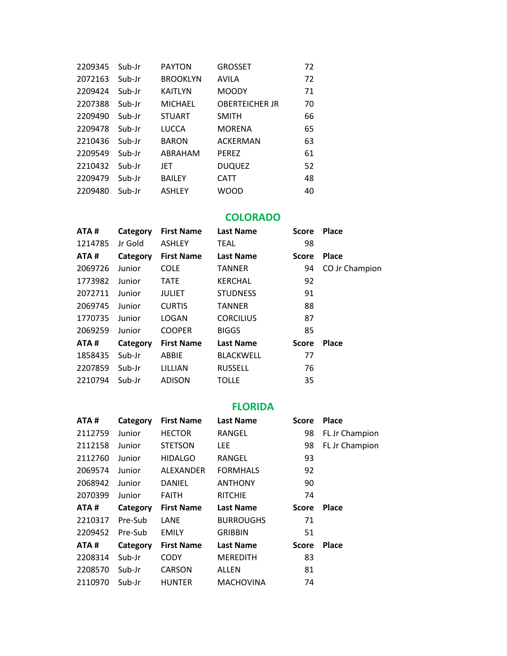| 2209345 | Sub-Jr | <b>PAYTON</b>   | <b>GROSSET</b>        | 72 |
|---------|--------|-----------------|-----------------------|----|
| 2072163 | Sub-Jr | <b>BROOKLYN</b> | AVILA                 | 72 |
| 2209424 | Sub-Jr | <b>KAITLYN</b>  | <b>MOODY</b>          | 71 |
| 2207388 | Sub-Ir | <b>MICHAEL</b>  | <b>OBERTEICHER JR</b> | 70 |
| 2209490 | Sub-Jr | <b>STUART</b>   | <b>SMITH</b>          | 66 |
| 2209478 | Sub-Ir | <b>LUCCA</b>    | <b>MORENA</b>         | 65 |
| 2210436 | Sub-Ir | <b>BARON</b>    | <b>ACKERMAN</b>       | 63 |
| 2209549 | Sub-Jr | ABRAHAM         | <b>PEREZ</b>          | 61 |
| 2210432 | Sub-Jr | JET             | <b>DUQUEZ</b>         | 52 |
| 2209479 | Sub-Jr | <b>BAILEY</b>   | <b>CATT</b>           | 48 |
| 2209480 | Sub-Jr | <b>ASHLEY</b>   | WOOD                  | 40 |

#### **COLORADO**

| ATA#    | Category | <b>First Name</b> | <b>Last Name</b> | <b>Score</b> | Place          |
|---------|----------|-------------------|------------------|--------------|----------------|
| 1214785 | Jr Gold  | <b>ASHLEY</b>     | <b>TEAL</b>      | 98           |                |
| ATA#    | Category | <b>First Name</b> | <b>Last Name</b> | <b>Score</b> | <b>Place</b>   |
| 2069726 | Junior   | <b>COLE</b>       | <b>TANNER</b>    | 94           | CO Jr Champion |
| 1773982 | Junior   | <b>TATE</b>       | <b>KERCHAL</b>   | 92           |                |
| 2072711 | Junior   | <b>JULIET</b>     | <b>STUDNESS</b>  | 91           |                |
| 2069745 | Junior   | <b>CURTIS</b>     | <b>TANNER</b>    | 88           |                |
| 1770735 | Junior   | LOGAN             | <b>CORCILIUS</b> | 87           |                |
| 2069259 | Junior   | <b>COOPER</b>     | <b>BIGGS</b>     | 85           |                |
| ATA#    | Category | <b>First Name</b> | <b>Last Name</b> | <b>Score</b> | <b>Place</b>   |
| 1858435 | Sub-Jr   | ABBIE             | <b>BLACKWELL</b> | 77           |                |
| 2207859 | Sub-Jr   | LILLIAN           | <b>RUSSELL</b>   | 76           |                |
| 2210794 | Sub-Jr   | <b>ADISON</b>     | <b>TOLLE</b>     | 35           |                |

# **FLORIDA**

| ATA#    | Category | <b>First Name</b> | <b>Last Name</b> | <b>Score</b> | <b>Place</b>   |
|---------|----------|-------------------|------------------|--------------|----------------|
| 2112759 | Junior   | <b>HECTOR</b>     | RANGEL           | 98           | FL Jr Champion |
| 2112158 | Junior   | <b>STETSON</b>    | LEE.             | 98           | FL Jr Champion |
| 2112760 | Junior   | <b>HIDALGO</b>    | RANGEL           | 93           |                |
| 2069574 | Junior   | ALEXANDER         | <b>FORMHALS</b>  | 92           |                |
| 2068942 | Junior   | DANIEL            | <b>ANTHONY</b>   | 90           |                |
| 2070399 | Junior   | <b>FAITH</b>      | <b>RITCHIE</b>   | 74           |                |
| ATA#    | Category | <b>First Name</b> | <b>Last Name</b> | <b>Score</b> | <b>Place</b>   |
| 2210317 | Pre-Sub  | LANE              | <b>BURROUGHS</b> | 71           |                |
| 2209452 | Pre-Sub  | <b>EMILY</b>      | <b>GRIBBIN</b>   | 51           |                |
| ATA#    | Category | <b>First Name</b> | <b>Last Name</b> | <b>Score</b> | <b>Place</b>   |
| 2208314 | Sub-Jr   | <b>CODY</b>       | <b>MEREDITH</b>  | 83           |                |
| 2208570 | Sub-Jr   | <b>CARSON</b>     | <b>ALLEN</b>     | 81           |                |
| 2110970 | Sub-Jr   | <b>HUNTER</b>     | <b>MACHOVINA</b> | 74           |                |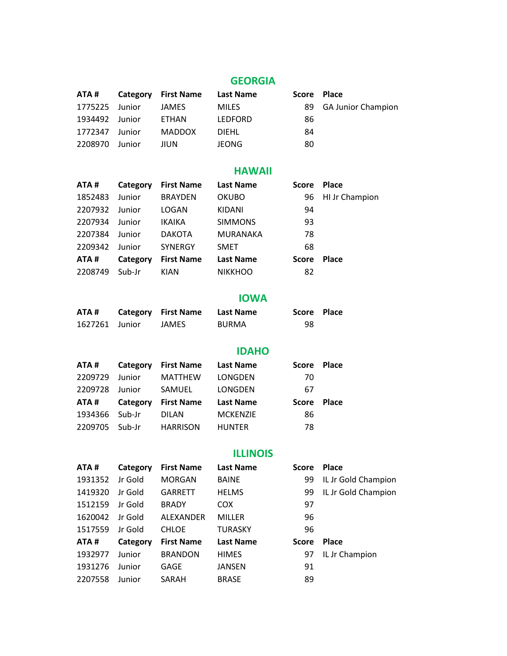# **GEORGIA**

|                |        | ATA# Category First Name Last Name |              | Score Place |                       |
|----------------|--------|------------------------------------|--------------|-------------|-----------------------|
| 1775225 Junior |        | JAMES                              | <b>MILES</b> |             | 89 GA Junior Champion |
| 1934492 Junior |        | ETHAN                              | LEDFORD      | 86          |                       |
| 1772347 Junior |        | MADDOX                             | <b>DIEHL</b> | 84          |                       |
| 2208970        | Junior | JIUN                               | JEONG.       | 80          |                       |

# **HAWAII**

| ATA #   | Category | <b>First Name</b> | <b>Last Name</b> | <b>Score</b> | <b>Place</b>   |
|---------|----------|-------------------|------------------|--------------|----------------|
| 1852483 | Junior   | <b>BRAYDEN</b>    | <b>OKUBO</b>     | 96           | HI Jr Champion |
| 2207932 | Junior   | LOGAN             | KIDANI           | 94           |                |
| 2207934 | Junior   | <b>IKAIKA</b>     | <b>SIMMONS</b>   | 93           |                |
| 2207384 | Junior   | <b>DAKOTA</b>     | <b>MURANAKA</b>  | 78           |                |
| 2209342 | Junior   | <b>SYNERGY</b>    | <b>SMET</b>      | 68           |                |
| ATA#    | Category | <b>First Name</b> | <b>Last Name</b> | <b>Score</b> | Place          |
| 2208749 | Sub-Jr   | <b>KIAN</b>       | <b>NIKKHOO</b>   | 82           |                |

#### **IOWA**

| ATA #          | <b>Category</b> First Name | Last Name    | Score Place |  |
|----------------|----------------------------|--------------|-------------|--|
| 1627261 Junior | JAMES.                     | <b>BURMA</b> | 98          |  |

## **IDAHO**

| ATA #   | Category | <b>First Name</b> | <b>Last Name</b> | <b>Score</b> | <b>Place</b> |
|---------|----------|-------------------|------------------|--------------|--------------|
| 2209729 | Junior   | <b>MATTHEW</b>    | LONGDEN          | 70           |              |
| 2209728 | Junior   | SAMUEL            | LONGDEN          | 67           |              |
|         |          |                   |                  |              |              |
| ATA #   | Category | <b>First Name</b> | <b>Last Name</b> | <b>Score</b> | <b>Place</b> |
| 1934366 | Sub-Jr   | <b>DILAN</b>      | <b>MCKENZIE</b>  | 86           |              |

## **ILLINOIS**

| ATA#    | Category | <b>First Name</b> | <b>Last Name</b> | <b>Score</b> | <b>Place</b>        |
|---------|----------|-------------------|------------------|--------------|---------------------|
| 1931352 | Jr Gold  | <b>MORGAN</b>     | <b>BAINE</b>     | 99           | IL Jr Gold Champion |
| 1419320 | Jr Gold  | <b>GARRETT</b>    | <b>HELMS</b>     | 99           | IL Jr Gold Champion |
| 1512159 | Jr Gold  | <b>BRADY</b>      | <b>COX</b>       | 97           |                     |
| 1620042 | Jr Gold  | ALEXANDER         | <b>MILLER</b>    | 96           |                     |
| 1517559 | Jr Gold  | <b>CHLOE</b>      | <b>TURASKY</b>   | 96           |                     |
| ATA#    | Category | <b>First Name</b> | <b>Last Name</b> | <b>Score</b> | <b>Place</b>        |
| 1932977 | Junior   | <b>BRANDON</b>    | <b>HIMES</b>     | 97           | IL Jr Champion      |
| 1931276 | Junior   | GAGE              | JANSEN           | 91           |                     |
| 2207558 | Junior   | SARAH             | <b>BRASE</b>     | 89           |                     |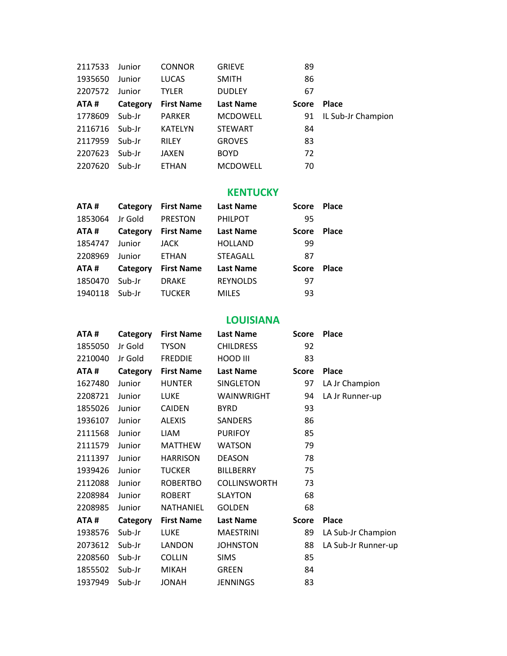| 2117533 | Junior   | <b>CONNOR</b>     | <b>GRIEVE</b>    | 89           |                    |
|---------|----------|-------------------|------------------|--------------|--------------------|
| 1935650 | Junior   | <b>LUCAS</b>      | <b>SMITH</b>     | 86           |                    |
| 2207572 | Junior   | <b>TYLER</b>      | <b>DUDLEY</b>    | 67           |                    |
| ATA#    | Category | <b>First Name</b> | <b>Last Name</b> | <b>Score</b> | <b>Place</b>       |
| 1778609 | Sub-Jr   | <b>PARKER</b>     | <b>MCDOWELL</b>  | 91           | IL Sub-Jr Champion |
| 2116716 | Sub-Jr   | <b>KATELYN</b>    | <b>STEWART</b>   | 84           |                    |
| 2117959 | Sub-Jr   | <b>RILEY</b>      | <b>GROVES</b>    | 83           |                    |
| 2207623 | Sub-Jr   | JAXEN             | <b>BOYD</b>      | 72           |                    |
| 2207620 | Sub-Jr   | <b>ETHAN</b>      | <b>MCDOWELL</b>  | 70           |                    |

#### **KENTUCKY**

| ATA#    | Category | <b>First Name</b> | <b>Last Name</b> | <b>Score</b> | <b>Place</b> |
|---------|----------|-------------------|------------------|--------------|--------------|
| 1853064 | Jr Gold  | <b>PRESTON</b>    | <b>PHILPOT</b>   | 95           |              |
| ATA#    | Category | <b>First Name</b> | <b>Last Name</b> | <b>Score</b> | <b>Place</b> |
| 1854747 | Junior   | JACK              | <b>HOLLAND</b>   | 99           |              |
| 2208969 | Junior   | <b>ETHAN</b>      | <b>STEAGALL</b>  | 87           |              |
| ATA#    | Category | <b>First Name</b> | <b>Last Name</b> | <b>Score</b> | <b>Place</b> |
| 1850470 | Sub-Jr   | <b>DRAKE</b>      | <b>REYNOLDS</b>  | 97           |              |
| 1940118 | Sub-Jr   | <b>TUCKER</b>     | <b>MILES</b>     | 93           |              |

#### **LOUISIANA**

| ATA#    | Category | <b>First Name</b> | <b>Last Name</b>    | <b>Score</b> | <b>Place</b>        |
|---------|----------|-------------------|---------------------|--------------|---------------------|
| 1855050 | Jr Gold  | <b>TYSON</b>      | <b>CHILDRESS</b>    | 92           |                     |
| 2210040 | Jr Gold  | <b>FREDDIE</b>    | HOOD III            | 83           |                     |
| ATA#    | Category | <b>First Name</b> | Last Name           | <b>Score</b> | <b>Place</b>        |
| 1627480 | Junior   | <b>HUNTER</b>     | SINGLETON           | 97           | LA Jr Champion      |
| 2208721 | Junior   | <b>LUKE</b>       | WAINWRIGHT          | 94           | LA Jr Runner-up     |
| 1855026 | Junior   | <b>CAIDEN</b>     | <b>BYRD</b>         | 93           |                     |
| 1936107 | Junior   | <b>ALEXIS</b>     | SANDERS             | 86           |                     |
| 2111568 | Junior   | <b>LIAM</b>       | <b>PURIFOY</b>      | 85           |                     |
| 2111579 | Junior   | <b>MATTHEW</b>    | <b>WATSON</b>       | 79           |                     |
| 2111397 | Junior   | <b>HARRISON</b>   | <b>DEASON</b>       | 78           |                     |
| 1939426 | Junior   | <b>TUCKER</b>     | <b>BILLBERRY</b>    | 75           |                     |
| 2112088 | Junior   | <b>ROBERTBO</b>   | <b>COLLINSWORTH</b> | 73           |                     |
| 2208984 | Junior   | <b>ROBERT</b>     | <b>SLAYTON</b>      | 68           |                     |
| 2208985 | Junior   | <b>NATHANIEL</b>  | <b>GOLDEN</b>       | 68           |                     |
| ATA#    | Category | <b>First Name</b> | <b>Last Name</b>    | <b>Score</b> | <b>Place</b>        |
| 1938576 | Sub-Jr   | <b>LUKE</b>       | <b>MAESTRINI</b>    | 89           | LA Sub-Jr Champion  |
| 2073612 | Sub-Jr   | LANDON            | <b>JOHNSTON</b>     | 88           | LA Sub-Jr Runner-up |
| 2208560 | Sub-Jr   | <b>COLLIN</b>     | <b>SIMS</b>         | 85           |                     |
| 1855502 | Sub-Jr   | <b>MIKAH</b>      | <b>GREEN</b>        | 84           |                     |
| 1937949 | Sub-Jr   | <b>HANOL</b>      | <b>JENNINGS</b>     | 83           |                     |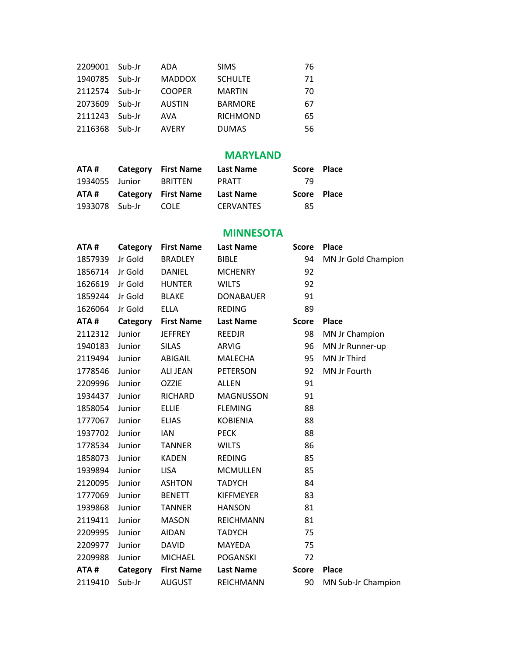|        | ADA                       | <b>SIMS</b>     | 76 |
|--------|---------------------------|-----------------|----|
| Sub-Jr | <b>MADDOX</b>             | <b>SCHULTE</b>  | 71 |
| Sub-Ir | <b>COOPER</b>             | <b>MARTIN</b>   | 70 |
| Sub-Ir | <b>AUSTIN</b>             | <b>BARMORE</b>  | 67 |
| Sub-Ir | AVA                       | <b>RICHMOND</b> | 65 |
| Sub-Ir | <b>AVERY</b>              | <b>DUMAS</b>    | 56 |
|        | 2209001 Sub-Jr<br>1940785 |                 |    |

# **MARYLAND**

| ATA #          | <b>Category</b> First Name | Last Name | Score Place |  |
|----------------|----------------------------|-----------|-------------|--|
| 1934055 Junior | <b>BRITTEN</b>             | PRATT     | -79.        |  |
|                |                            |           |             |  |
| ATA #          | <b>Category</b> First Name | Last Name | Score Place |  |

#### **MINNESOTA**

| ATA#    | Category | <b>First Name</b> | <b>Last Name</b> | <b>Score</b> | Place               |
|---------|----------|-------------------|------------------|--------------|---------------------|
| 1857939 | Jr Gold  | <b>BRADLEY</b>    | <b>BIBLE</b>     | 94           | MN Jr Gold Champion |
| 1856714 | Jr Gold  | DANIEL            | <b>MCHENRY</b>   | 92           |                     |
| 1626619 | Jr Gold  | <b>HUNTER</b>     | <b>WILTS</b>     | 92           |                     |
| 1859244 | Jr Gold  | <b>BLAKE</b>      | <b>DONABAUER</b> | 91           |                     |
| 1626064 | Jr Gold  | <b>ELLA</b>       | <b>REDING</b>    | 89           |                     |
| ATA#    | Category | <b>First Name</b> | <b>Last Name</b> | <b>Score</b> | Place               |
| 2112312 | Junior   | <b>JEFFREY</b>    | <b>REEDJR</b>    | 98           | MN Jr Champion      |
| 1940183 | Junior   | <b>SILAS</b>      | <b>ARVIG</b>     | 96           | MN Jr Runner-up     |
| 2119494 | Junior   | ABIGAIL           | <b>MALECHA</b>   | 95           | MN Jr Third         |
| 1778546 | Junior   | <b>ALI JEAN</b>   | <b>PETERSON</b>  | 92           | MN Jr Fourth        |
| 2209996 | Junior   | <b>OZZIE</b>      | <b>ALLEN</b>     | 91           |                     |
| 1934437 | Junior   | <b>RICHARD</b>    | <b>MAGNUSSON</b> | 91           |                     |
| 1858054 | Junior   | <b>ELLIE</b>      | <b>FLEMING</b>   | 88           |                     |
| 1777067 | Junior   | <b>ELIAS</b>      | <b>KOBIENIA</b>  | 88           |                     |
| 1937702 | Junior   | <b>IAN</b>        | <b>PECK</b>      | 88           |                     |
| 1778534 | Junior   | <b>TANNER</b>     | <b>WILTS</b>     | 86           |                     |
| 1858073 | Junior   | <b>KADEN</b>      | <b>REDING</b>    | 85           |                     |
| 1939894 | Junior   | <b>LISA</b>       | <b>MCMULLEN</b>  | 85           |                     |
| 2120095 | Junior   | <b>ASHTON</b>     | <b>TADYCH</b>    | 84           |                     |
| 1777069 | Junior   | <b>BENETT</b>     | <b>KIFFMEYER</b> | 83           |                     |
| 1939868 | Junior   | <b>TANNER</b>     | <b>HANSON</b>    | 81           |                     |
| 2119411 | Junior   | <b>MASON</b>      | <b>REICHMANN</b> | 81           |                     |
| 2209995 | Junior   | <b>AIDAN</b>      | <b>TADYCH</b>    | 75           |                     |
| 2209977 | Junior   | <b>DAVID</b>      | MAYEDA           | 75           |                     |
| 2209988 | Junior   | <b>MICHAEL</b>    | <b>POGANSKI</b>  | 72           |                     |
| ATA#    | Category | <b>First Name</b> | <b>Last Name</b> | <b>Score</b> | Place               |
| 2119410 | Sub-Jr   | <b>AUGUST</b>     | REICHMANN        | 90           | MN Sub-Jr Champion  |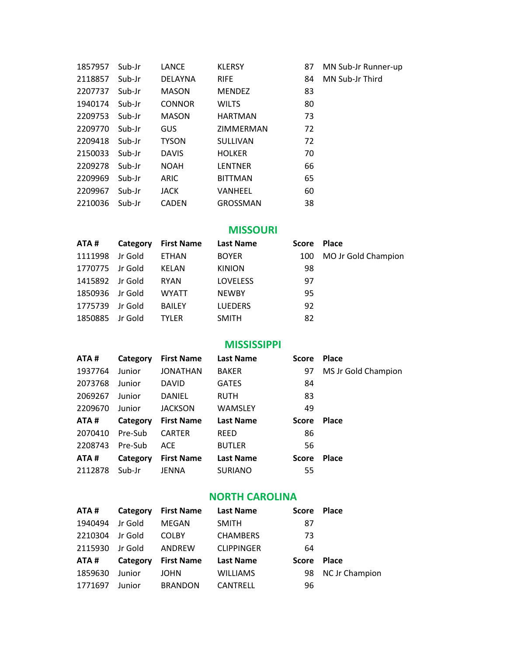| 1857957 | Sub-Jr | LANCE          | <b>KLERSY</b>   | 87 | MN Sub-Jr Runner-up |
|---------|--------|----------------|-----------------|----|---------------------|
| 2118857 | Sub-Jr | <b>DELAYNA</b> | <b>RIFE</b>     | 84 | MN Sub-Jr Third     |
| 2207737 | Sub-Jr | <b>MASON</b>   | <b>MENDEZ</b>   | 83 |                     |
| 1940174 | Sub-Jr | <b>CONNOR</b>  | <b>WILTS</b>    | 80 |                     |
| 2209753 | Sub-Jr | <b>MASON</b>   | <b>HARTMAN</b>  | 73 |                     |
| 2209770 | Sub-Jr | <b>GUS</b>     | ZIMMERMAN       | 72 |                     |
| 2209418 | Sub-Jr | <b>TYSON</b>   | <b>SULLIVAN</b> | 72 |                     |
| 2150033 | Sub-Jr | <b>DAVIS</b>   | <b>HOLKER</b>   | 70 |                     |
| 2209278 | Sub-Jr | <b>NOAH</b>    | <b>LENTNER</b>  | 66 |                     |
| 2209969 | Sub-Jr | <b>ARIC</b>    | <b>BITTMAN</b>  | 65 |                     |
| 2209967 | Sub-Jr | <b>JACK</b>    | <b>VANHEEL</b>  | 60 |                     |
| 2210036 | Sub-Jr | <b>CADEN</b>   | GROSSMAN        | 38 |                     |

# **MISSOURI**

| ATA#    | Category | <b>First Name</b> | <b>Last Name</b> | Score | <b>Place</b>        |
|---------|----------|-------------------|------------------|-------|---------------------|
| 1111998 | Jr Gold  | ETHAN             | <b>BOYER</b>     | 100   | MO Jr Gold Champion |
| 1770775 | Jr Gold  | KELAN             | <b>KINION</b>    | 98    |                     |
| 1415892 | Jr Gold  | <b>RYAN</b>       | <b>LOVELESS</b>  | 97    |                     |
| 1850936 | Jr Gold  | <b>WYATT</b>      | <b>NEWBY</b>     | 95    |                     |
| 1775739 | Jr Gold  | <b>BAILEY</b>     | <b>LUEDERS</b>   | 92    |                     |
| 1850885 | Jr Gold  | <b>TYLER</b>      | <b>SMITH</b>     | 82    |                     |

#### **MISSISSIPPI**

| ATA#    | Category | <b>First Name</b> | <b>Last Name</b> | <b>Score</b> | <b>Place</b>        |
|---------|----------|-------------------|------------------|--------------|---------------------|
| 1937764 | Junior   | <b>JONATHAN</b>   | <b>BAKER</b>     | 97           | MS Jr Gold Champion |
| 2073768 | Junior   | <b>DAVID</b>      | <b>GATES</b>     | 84           |                     |
| 2069267 | Junior   | <b>DANIEL</b>     | <b>RUTH</b>      | 83           |                     |
| 2209670 | Junior   | <b>JACKSON</b>    | <b>WAMSLEY</b>   | 49           |                     |
| ATA#    | Category | <b>First Name</b> | <b>Last Name</b> | <b>Score</b> | <b>Place</b>        |
|         |          |                   |                  |              |                     |
| 2070410 | Pre-Sub  | <b>CARTER</b>     | <b>REED</b>      | 86           |                     |
| 2208743 | Pre-Sub  | <b>ACE</b>        | <b>BUTLER</b>    | 56           |                     |
| ATA#    | Category | <b>First Name</b> | <b>Last Name</b> | <b>Score</b> | <b>Place</b>        |
| 2112878 | Sub-Jr   | <b>JENNA</b>      | <b>SURIANO</b>   | 55           |                     |

#### **NORTH CAROLINA**

| ATA#    | Category | <b>First Name</b> | <b>Last Name</b>  | <b>Score</b> | <b>Place</b>          |
|---------|----------|-------------------|-------------------|--------------|-----------------------|
| 1940494 | Jr Gold  | MEGAN             | <b>SMITH</b>      | 87           |                       |
| 2210304 | Jr Gold  | <b>COLBY</b>      | <b>CHAMBERS</b>   | 73           |                       |
| 2115930 | Jr Gold  | ANDREW            | <b>CLIPPINGER</b> | 64           |                       |
| ATA#    | Category | <b>First Name</b> | <b>Last Name</b>  | <b>Score</b> | <b>Place</b>          |
| 1859630 | Junior   | <b>JOHN</b>       | <b>WILLIAMS</b>   | 98           | <b>NC Jr Champion</b> |
| 1771697 | Junior   | <b>BRANDON</b>    | CANTRELL          | 96           |                       |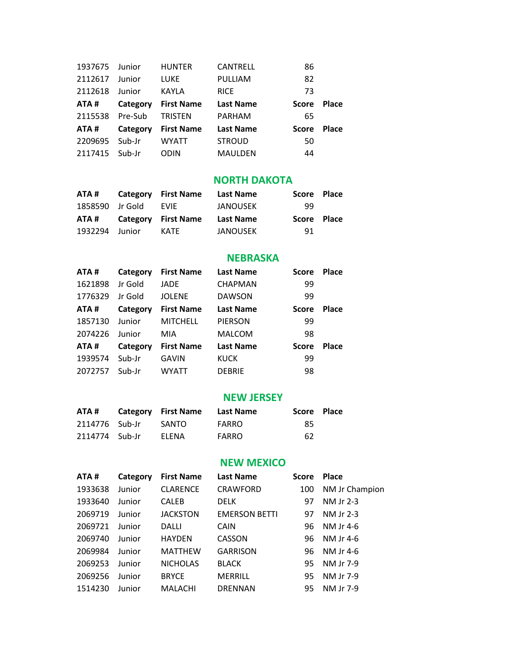| 1937675 | Junior   | <b>HUNTER</b>     | CANTRELL         | 86           |              |
|---------|----------|-------------------|------------------|--------------|--------------|
| 2112617 | Junior   | <b>LUKE</b>       | PULLIAM          | 82           |              |
| 2112618 | Junior   | <b>KAYLA</b>      | <b>RICE</b>      | 73           |              |
| ATA#    | Category | <b>First Name</b> | <b>Last Name</b> | <b>Score</b> | <b>Place</b> |
| 2115538 | Pre-Sub  | TRISTEN           | <b>PARHAM</b>    | 65           |              |
| ATA#    | Category | <b>First Name</b> | <b>Last Name</b> | Score        | <b>Place</b> |
| 2209695 | Sub-Ir   | <b>WYATT</b>      | <b>STROUD</b>    | 50           |              |
| 2117415 | Sub-Ir   | ODIN              | <b>MAULDEN</b>   | 44           |              |

#### **NORTH DAKOTA**

| ATA #           | <b>Category</b> First Name | Last Name | Score Place |  |
|-----------------|----------------------------|-----------|-------------|--|
| 1858590 Jr Gold | <b>EVIF</b>                | JANOUSEK  | 99          |  |
|                 |                            |           |             |  |
| ATA #           | <b>Category</b> First Name | Last Name | Score Place |  |

#### **NEBRASKA**

| ATA #   | Category | <b>First Name</b> | <b>Last Name</b> | <b>Score</b> | <b>Place</b> |
|---------|----------|-------------------|------------------|--------------|--------------|
| 1621898 | Jr Gold  | JADE              | <b>CHAPMAN</b>   | 99           |              |
| 1776329 | Jr Gold  | <b>JOLENE</b>     | <b>DAWSON</b>    | 99           |              |
| ATA #   | Category | <b>First Name</b> | <b>Last Name</b> | <b>Score</b> | <b>Place</b> |
| 1857130 | Junior   | <b>MITCHELL</b>   | <b>PIERSON</b>   | 99           |              |
| 2074226 | Junior   | MIA               | <b>MALCOM</b>    | 98           |              |
| ATA #   | Category | <b>First Name</b> | <b>Last Name</b> | <b>Score</b> | <b>Place</b> |
| 1939574 | Sub-Jr   | <b>GAVIN</b>      | <b>KUCK</b>      | 99           |              |
| 2072757 | Sub-Jr   | <b>WYATT</b>      | <b>DEBRIE</b>    | 98           |              |
|         |          |                   |                  |              |              |

#### **NEW JERSEY**

| ATA #          | <b>Category</b> First Name | Last Name    | Score Place |  |
|----------------|----------------------------|--------------|-------------|--|
| 2114776 Sub-Jr | SANTO                      | FARRO        | 85          |  |
| 2114774 Sub-Jr | <b>FLENA</b>               | <b>FARRO</b> | 62          |  |

# **NEW MEXICO**

| ATA#    | Category | <b>First Name</b> | <b>Last Name</b>     | <b>Score</b> | <b>Place</b>   |
|---------|----------|-------------------|----------------------|--------------|----------------|
| 1933638 | Junior   | <b>CLARENCE</b>   | <b>CRAWFORD</b>      | 100          | NM Jr Champion |
| 1933640 | Junior   | <b>CALEB</b>      | <b>DELK</b>          | 97           | NM Jr 2-3      |
| 2069719 | Junior   | <b>JACKSTON</b>   | <b>EMERSON BETTI</b> | 97           | NM Jr 2-3      |
| 2069721 | Junior   | DALLI             | <b>CAIN</b>          | 96           | NM Jr 4-6      |
| 2069740 | Junior   | <b>HAYDEN</b>     | CASSON               | 96           | NM Jr 4-6      |
| 2069984 | Junior   | <b>MATTHEW</b>    | <b>GARRISON</b>      | 96           | NM Jr 4-6      |
| 2069253 | Junior   | <b>NICHOLAS</b>   | <b>BLACK</b>         | 95.          | NM Jr 7-9      |
| 2069256 | Junior   | <b>BRYCE</b>      | <b>MERRILL</b>       | 95           | NM Jr 7-9      |
| 1514230 | Junior   | MALACHI           | <b>DRENNAN</b>       | 95           | NM Jr 7-9      |
|         |          |                   |                      |              |                |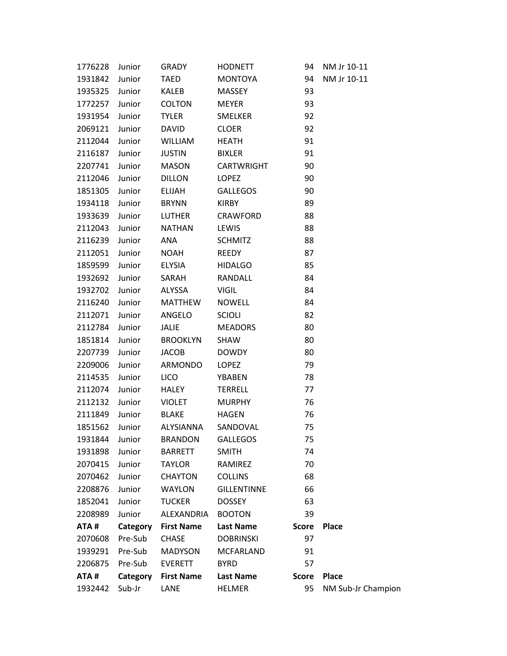| 1776228 | Junior   | GRADY             | HODNETT            | 94           | NM Jr 10-11        |
|---------|----------|-------------------|--------------------|--------------|--------------------|
| 1931842 | Junior   | TAED              | MONTOYA            | 94           | NM Jr 10-11        |
| 1935325 | Junior   | KALEB             | <b>MASSEY</b>      | 93           |                    |
| 1772257 | Junior   | <b>COLTON</b>     | MEYER              | 93           |                    |
| 1931954 | Junior   | <b>TYLER</b>      | SMELKER            | 92           |                    |
| 2069121 | Junior   | DAVID             | <b>CLOER</b>       | 92           |                    |
| 2112044 | Junior   | WILLIAM           | HEATH              | 91           |                    |
| 2116187 | Junior   | <b>JUSTIN</b>     | <b>BIXLER</b>      | 91           |                    |
| 2207741 | Junior   | MASON             | CARTWRIGHT         | 90           |                    |
| 2112046 | Junior   | DILLON            | LOPEZ              | 90           |                    |
| 1851305 | Junior   | ELIJAH            | GALLEGOS           | 90           |                    |
| 1934118 | Junior   | <b>BRYNN</b>      | KIRBY              | 89           |                    |
| 1933639 | Junior   | LUTHER            | CRAWFORD           | 88           |                    |
| 2112043 | Junior   | <b>NATHAN</b>     | LEWIS              | 88           |                    |
| 2116239 | Junior   | ANA               | <b>SCHMITZ</b>     | 88           |                    |
| 2112051 | Junior   | NOAH              | REEDY              | 87           |                    |
| 1859599 | Junior   | ELYSIA            | HIDALGO            | 85           |                    |
| 1932692 | Junior   | SARAH             | RANDALL            | 84           |                    |
| 1932702 | Junior   | ALYSSA            | VIGIL              | 84           |                    |
| 2116240 | Junior   | MATTHEW           | NOWELL             | 84           |                    |
| 2112071 | Junior   | ANGELO            | <b>SCIOLI</b>      | 82           |                    |
| 2112784 | Junior   | JALIE MEADORS     |                    | 80           |                    |
| 1851814 | Junior   | <b>BROOKLYN</b>   | SHAW               | 80           |                    |
| 2207739 | Junior   | <b>JACOB</b>      | DOWDY              | 80           |                    |
| 2209006 | Junior   | ARMONDO           | LOPEZ              | 79           |                    |
| 2114535 | Junior   | <b>LICO</b>       | YBABEN             | 78           |                    |
| 2112074 | Junior   | HALEY             | TERRELL            | 77           |                    |
| 2112132 | Junior   | <b>VIOLET</b>     | <b>MURPHY</b>      | 76           |                    |
| 2111849 | Junior   | BLAKE HAGEN       |                    | 76           |                    |
| 1851562 | Junior   | ALYSIANNA         | SANDOVAL           | 75           |                    |
| 1931844 | Junior   | <b>BRANDON</b>    | <b>GALLEGOS</b>    | 75           |                    |
| 1931898 | Junior   | <b>BARRETT</b>    | <b>SMITH</b>       | 74           |                    |
| 2070415 | Junior   | <b>TAYLOR</b>     | RAMIREZ            | 70           |                    |
| 2070462 | Junior   | <b>CHAYTON</b>    | <b>COLLINS</b>     | 68           |                    |
| 2208876 | Junior   | <b>WAYLON</b>     | <b>GILLENTINNE</b> | 66           |                    |
| 1852041 | Junior   | <b>TUCKER</b>     | <b>DOSSEY</b>      | 63           |                    |
| 2208989 | Junior   | ALEXANDRIA        | <b>BOOTON</b>      | 39           |                    |
| ATA#    | Category | <b>First Name</b> | <b>Last Name</b>   | <b>Score</b> | <b>Place</b>       |
| 2070608 | Pre-Sub  | <b>CHASE</b>      | <b>DOBRINSKI</b>   | 97           |                    |
| 1939291 | Pre-Sub  | <b>MADYSON</b>    | <b>MCFARLAND</b>   | 91           |                    |
| 2206875 | Pre-Sub  | <b>EVERETT</b>    | <b>BYRD</b>        | 57           |                    |
| ATA#    | Category | <b>First Name</b> | <b>Last Name</b>   | <b>Score</b> | <b>Place</b>       |
| 1932442 | Sub-Jr   | LANE              | <b>HELMER</b>      | 95           | NM Sub-Jr Champion |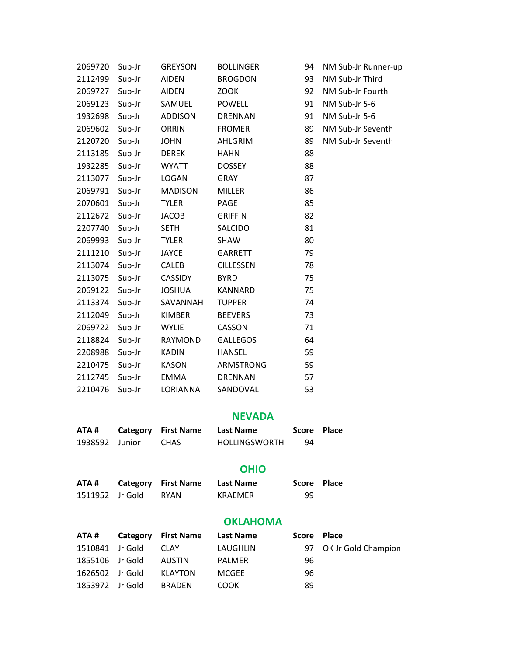| ATA#    | Category | <b>First Name</b> | <b>Last Name</b> | <b>Score</b> | <b>Place</b>        |
|---------|----------|-------------------|------------------|--------------|---------------------|
|         |          |                   | <b>NEVADA</b>    |              |                     |
| 2210476 | Sub-Jr   | LORIANNA          | SANDOVAL         | 53           |                     |
| 2112745 | Sub-Jr   | EMMA              | <b>DRENNAN</b>   | 57           |                     |
| 2210475 | Sub-Jr   | <b>KASON</b>      | ARMSTRONG        | 59           |                     |
| 2208988 | Sub-Jr   | <b>KADIN</b>      | <b>HANSEL</b>    | 59           |                     |
| 2118824 | Sub-Jr   | RAYMOND           | <b>GALLEGOS</b>  | 64           |                     |
| 2069722 | Sub-Jr   | <b>WYLIE</b>      | CASSON           | 71           |                     |
| 2112049 | Sub-Jr   | <b>KIMBER</b>     | <b>BEEVERS</b>   | 73           |                     |
| 2113374 | Sub-Jr   | SAVANNAH          | <b>TUPPER</b>    | 74           |                     |
| 2069122 | Sub-Jr   | <b>JOSHUA</b>     | KANNARD          | 75           |                     |
| 2113075 | Sub-Jr   | <b>CASSIDY</b>    | <b>BYRD</b>      | 75           |                     |
| 2113074 | Sub-Jr   | <b>CALEB</b>      | <b>CILLESSEN</b> | 78           |                     |
| 2111210 | Sub-Jr   | <b>JAYCE</b>      | <b>GARRETT</b>   | 79           |                     |
| 2069993 | Sub-Jr   | <b>TYLER</b>      | SHAW             | 80           |                     |
| 2207740 | Sub-Jr   | <b>SETH</b>       | SALCIDO          | 81           |                     |
| 2112672 | Sub-Jr   | <b>JACOB</b>      | <b>GRIFFIN</b>   | 82           |                     |
| 2070601 | Sub-Jr   | <b>TYLER</b>      | PAGE             | 85           |                     |
| 2069791 | Sub-Jr   | <b>MADISON</b>    | <b>MILLER</b>    | 86           |                     |
| 2113077 | Sub-Jr   | LOGAN             | <b>GRAY</b>      | 87           |                     |
| 1932285 | Sub-Jr   | <b>WYATT</b>      | <b>DOSSEY</b>    | 88           |                     |
| 2113185 | Sub-Jr   | <b>DEREK</b>      | <b>HAHN</b>      | 88           |                     |
| 2120720 | Sub-Jr   | <b>JOHN</b>       | AHLGRIM          | 89           | NM Sub-Jr Seventh   |
| 2069602 | Sub-Jr   | <b>ORRIN</b>      | <b>FROMER</b>    | 89           | NM Sub-Jr Seventh   |
| 1932698 | Sub-Jr   | <b>ADDISON</b>    | <b>DRENNAN</b>   | 91           | NM Sub-Jr 5-6       |
| 2069123 | Sub-Jr   | SAMUEL            | <b>POWELL</b>    | 91           | NM Sub-Jr 5-6       |
| 2069727 | Sub-Jr   | <b>AIDEN</b>      | <b>ZOOK</b>      | 92           | NM Sub-Jr Fourth    |
| 2112499 | Sub-Jr   | <b>AIDEN</b>      | <b>BROGDON</b>   | 93           | NM Sub-Jr Third     |
| 2069720 | Sub-Jr   | <b>GREYSON</b>    | <b>BOLLINGER</b> | 94           | NM Sub-Jr Runner-up |

| AIA #          | Category First Name | - Last Name   | Score Pla |  |
|----------------|---------------------|---------------|-----------|--|
| 1938592 Junior | <b>CHAS</b>         | HOLLINGSWORTH | 94        |  |

# **OHIO**

| ATA#            | Category First Name Last Name |         | Score Place |  |
|-----------------|-------------------------------|---------|-------------|--|
| 1511952 Jr Gold | RYAN                          | KRAEMER | 99          |  |

|                 |          |                   | <b>OKLAHOMA</b>  |             |                        |
|-----------------|----------|-------------------|------------------|-------------|------------------------|
| ATA #           | Category | <b>First Name</b> | <b>Last Name</b> | Score Place |                        |
| 1510841 Jr Gold |          | <b>CLAY</b>       | LAUGHLIN         |             | 97 OK Jr Gold Champion |
| 1855106 Jr Gold |          | AUSTIN            | <b>PALMER</b>    | 96          |                        |
| 1626502         | Ir Gold  | <b>KLAYTON</b>    | <b>MCGEE</b>     | 96          |                        |
| 1853972 Jr Gold |          | <b>BRADEN</b>     | <b>COOK</b>      | 89          |                        |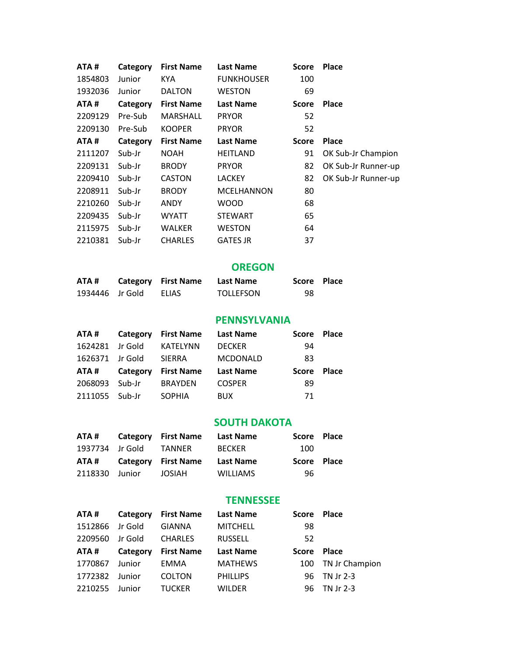| ATA#    | Category | <b>First Name</b> | <b>Last Name</b>  | <b>Score</b> | <b>Place</b>        |
|---------|----------|-------------------|-------------------|--------------|---------------------|
| 1854803 | Junior   | KYA.              | <b>FUNKHOUSER</b> | 100          |                     |
| 1932036 | Junior   | <b>DALTON</b>     | WESTON            | 69           |                     |
| ATA#    | Category | <b>First Name</b> | <b>Last Name</b>  | <b>Score</b> | <b>Place</b>        |
| 2209129 | Pre-Sub  | <b>MARSHALL</b>   | <b>PRYOR</b>      | 52           |                     |
| 2209130 | Pre-Sub  | <b>KOOPER</b>     | <b>PRYOR</b>      | 52           |                     |
| ATA#    | Category | <b>First Name</b> | <b>Last Name</b>  | Score        | <b>Place</b>        |
| 2111207 | Sub-Jr   | <b>NOAH</b>       | <b>HEITLAND</b>   | 91           | OK Sub-Jr Champion  |
| 2209131 | Sub-Jr   | <b>BRODY</b>      | <b>PRYOR</b>      | 82           | OK Sub-Jr Runner-up |
| 2209410 | Sub-Jr   | <b>CASTON</b>     | LACKEY            | 82           | OK Sub-Jr Runner-up |
| 2208911 | Sub-Jr   | <b>BRODY</b>      | <b>MCELHANNON</b> | 80           |                     |
| 2210260 | Sub-Jr   | <b>ANDY</b>       | <b>WOOD</b>       | 68           |                     |
| 2209435 | Sub-Jr   | <b>WYATT</b>      | <b>STEWART</b>    | 65           |                     |
| 2115975 | Sub-Jr   | <b>WALKER</b>     | <b>WESTON</b>     | 64           |                     |
| 2210381 | Sub-Jr   | <b>CHARLES</b>    | <b>GATES JR</b>   | 37           |                     |
|         |          |                   |                   |              |                     |

# **OREGON**

| ATA#            | <b>Category</b> First Name | Last Name        | Score Place |  |
|-----------------|----------------------------|------------------|-------------|--|
| 1934446 Jr Gold | ELIAS                      | <b>TOLLEFSON</b> | 98          |  |

# **PENNSYLVANIA**

| ATA #           | Category | <b>First Name</b> | Last Name        | <b>Score</b> | Place        |
|-----------------|----------|-------------------|------------------|--------------|--------------|
| 1624281         | Jr Gold  | KATELYNN          | <b>DECKER</b>    | 94           |              |
| 1626371 Jr Gold |          | <b>SIERRA</b>     | <b>MCDONALD</b>  | 83           |              |
|                 |          |                   |                  |              |              |
| ATA #           | Category | <b>First Name</b> | <b>Last Name</b> | <b>Score</b> | <b>Place</b> |
| 2068093         | Sub-Jr   | <b>BRAYDEN</b>    | <b>COSPER</b>    | 89           |              |

# **SOUTH DAKOTA**

| ATA #           | <b>Category</b> First Name | Last Name     | Score Place |  |
|-----------------|----------------------------|---------------|-------------|--|
| 1937734 Jr Gold | TANNER                     | <b>BECKER</b> | 100         |  |
|                 |                            |               |             |  |
|                 | ATA# Category First Name   | Last Name     | Score Place |  |

# **TENNESSEE**

| ATA #   | Category | <b>First Name</b> | <b>Last Name</b> | Score Place |                    |
|---------|----------|-------------------|------------------|-------------|--------------------|
| 1512866 | Jr Gold  | <b>GIANNA</b>     | <b>MITCHELL</b>  | 98          |                    |
| 2209560 | Jr Gold  | <b>CHARLES</b>    | <b>RUSSELL</b>   | 52          |                    |
| ATA #   | Category | <b>First Name</b> | <b>Last Name</b> | Score Place |                    |
| 1770867 | Junior   | <b>EMMA</b>       | <b>MATHEWS</b>   |             | 100 TN Jr Champion |
| 1772382 | Junior   | <b>COLTON</b>     | <b>PHILLIPS</b>  |             | 96 TN Jr 2-3       |
| 2210255 | Junior   | <b>TUCKER</b>     | <b>WILDER</b>    |             | 96 TN Jr 2-3       |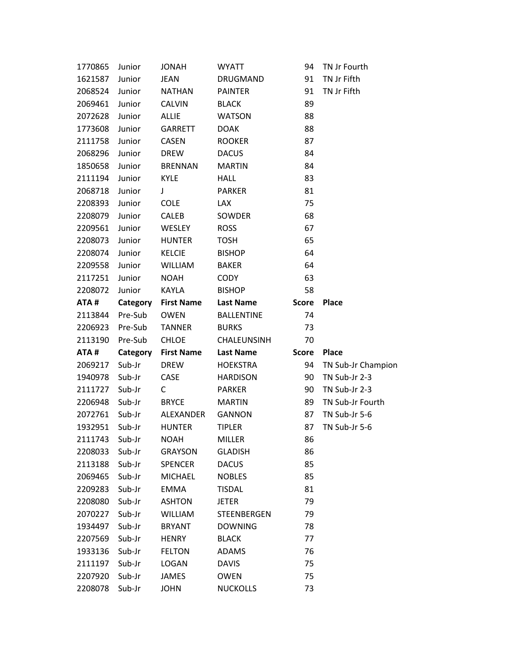| 1770865 | Junior   | <b>JONAH</b>      | <b>WYATT</b>       | 94           | TN Jr Fourth       |
|---------|----------|-------------------|--------------------|--------------|--------------------|
| 1621587 | Junior   | <b>JEAN</b>       | DRUGMAND           | 91           | TN Jr Fifth        |
| 2068524 | Junior   | <b>NATHAN</b>     | <b>PAINTER</b>     | 91           | TN Jr Fifth        |
| 2069461 | Junior   | <b>CALVIN</b>     | <b>BLACK</b>       | 89           |                    |
| 2072628 | Junior   | <b>ALLIE</b>      | <b>WATSON</b>      | 88           |                    |
| 1773608 | Junior   | <b>GARRETT</b>    | <b>DOAK</b>        | 88           |                    |
| 2111758 | Junior   | <b>CASEN</b>      | <b>ROOKER</b>      | 87           |                    |
| 2068296 | Junior   | <b>DREW</b>       | <b>DACUS</b>       | 84           |                    |
| 1850658 | Junior   | <b>BRENNAN</b>    | <b>MARTIN</b>      | 84           |                    |
| 2111194 | Junior   | <b>KYLE</b>       | HALL               | 83           |                    |
| 2068718 | Junior   | $\mathsf{J}$      | <b>PARKER</b>      | 81           |                    |
| 2208393 | Junior   | <b>COLE</b>       | <b>LAX</b>         | 75           |                    |
| 2208079 | Junior   | <b>CALEB</b>      | SOWDER             | 68           |                    |
| 2209561 | Junior   | WESLEY            | <b>ROSS</b>        | 67           |                    |
| 2208073 | Junior   | <b>HUNTER</b>     | <b>TOSH</b>        | 65           |                    |
| 2208074 | Junior   | <b>KELCIE</b>     | <b>BISHOP</b>      | 64           |                    |
| 2209558 | Junior   | <b>WILLIAM</b>    | <b>BAKER</b>       | 64           |                    |
| 2117251 | Junior   | <b>NOAH</b>       | <b>CODY</b>        | 63           |                    |
| 2208072 | Junior   | KAYLA             | <b>BISHOP</b>      | 58           |                    |
| ATA#    | Category | <b>First Name</b> | <b>Last Name</b>   | <b>Score</b> | <b>Place</b>       |
| 2113844 | Pre-Sub  | <b>OWEN</b>       | <b>BALLENTINE</b>  | 74           |                    |
| 2206923 | Pre-Sub  | TANNER            | <b>BURKS</b>       | 73           |                    |
| 2113190 | Pre-Sub  | CHLOE             | CHALEUNSINH        | 70           |                    |
| ATA#    | Category | <b>First Name</b> | <b>Last Name</b>   | <b>Score</b> | <b>Place</b>       |
| 2069217 | Sub-Jr   | <b>DREW</b>       | <b>HOEKSTRA</b>    | 94           | TN Sub-Jr Champion |
| 1940978 | Sub-Jr   | CASE              | <b>HARDISON</b>    | 90           | TN Sub-Jr 2-3      |
| 2111727 | Sub-Jr   | $\mathsf{C}$      | PARKER             | 90           | TN Sub-Jr 2-3      |
| 2206948 | Sub-Jr   | <b>BRYCE</b>      | <b>MARTIN</b>      | 89           | TN Sub-Jr Fourth   |
| 2072761 | Sub-Jr   | ALEXANDER         | <b>GANNON</b>      | 87           | TN Sub-Jr 5-6      |
| 1932951 | Sub-Jr   | <b>HUNTER</b>     | <b>TIPLER</b>      | 87           | TN Sub-Jr 5-6      |
| 2111743 | Sub-Jr   | <b>NOAH</b>       | MILLER             | 86           |                    |
| 2208033 | Sub-Jr   | <b>GRAYSON</b>    | <b>GLADISH</b>     | 86           |                    |
| 2113188 | Sub-Jr   | <b>SPENCER</b>    | <b>DACUS</b>       | 85           |                    |
| 2069465 | Sub-Jr   | <b>MICHAEL</b>    | <b>NOBLES</b>      | 85           |                    |
| 2209283 | Sub-Jr   | <b>EMMA</b>       | <b>TISDAL</b>      | 81           |                    |
| 2208080 | Sub-Jr   | <b>ASHTON</b>     | <b>JETER</b>       | 79           |                    |
| 2070227 | Sub-Jr   | <b>WILLIAM</b>    | <b>STEENBERGEN</b> | 79           |                    |
| 1934497 | Sub-Jr   | <b>BRYANT</b>     | <b>DOWNING</b>     | 78           |                    |
| 2207569 | Sub-Jr   | <b>HENRY</b>      | <b>BLACK</b>       | 77           |                    |
| 1933136 | Sub-Jr   | <b>FELTON</b>     | <b>ADAMS</b>       | 76           |                    |
| 2111197 | Sub-Jr   | LOGAN             | <b>DAVIS</b>       | 75           |                    |
| 2207920 | Sub-Jr   | <b>JAMES</b>      | <b>OWEN</b>        | 75           |                    |
| 2208078 | Sub-Jr   | <b>JOHN</b>       | <b>NUCKOLLS</b>    | 73           |                    |